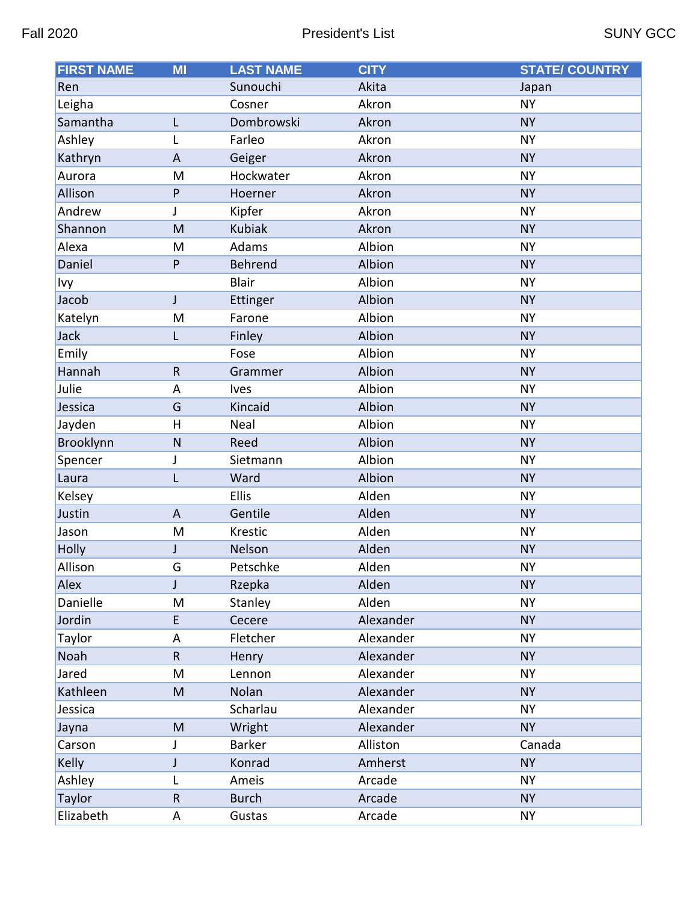| <b>FIRST NAME</b> | <b>MI</b>    | <b>LAST NAME</b> | <b>CITY</b> | <b>STATE/ COUNTRY</b> |
|-------------------|--------------|------------------|-------------|-----------------------|
| Ren               |              | Sunouchi         | Akita       | Japan                 |
| Leigha            |              | Cosner           | Akron       | <b>NY</b>             |
| Samantha          | L            | Dombrowski       | Akron       | <b>NY</b>             |
| Ashley            | Г            | Farleo           | Akron       | <b>NY</b>             |
| Kathryn           | A            | Geiger           | Akron       | <b>NY</b>             |
| Aurora            | M            | Hockwater        | Akron       | <b>NY</b>             |
| Allison           | P            | Hoerner          | Akron       | <b>NY</b>             |
| Andrew            | J            | Kipfer           | Akron       | <b>NY</b>             |
| Shannon           | M            | <b>Kubiak</b>    | Akron       | <b>NY</b>             |
| Alexa             | M            | Adams            | Albion      | <b>NY</b>             |
| Daniel            | P            | Behrend          | Albion      | <b>NY</b>             |
| Ivy               |              | <b>Blair</b>     | Albion      | <b>NY</b>             |
| Jacob             | J            | Ettinger         | Albion      | <b>NY</b>             |
| Katelyn           | M            | Farone           | Albion      | <b>NY</b>             |
| Jack              | L            | Finley           | Albion      | <b>NY</b>             |
| Emily             |              | Fose             | Albion      | <b>NY</b>             |
| Hannah            | $\mathsf{R}$ | Grammer          | Albion      | <b>NY</b>             |
| Julie             | A            | Ives             | Albion      | <b>NY</b>             |
| Jessica           | G            | Kincaid          | Albion      | <b>NY</b>             |
| Jayden            | H            | Neal             | Albion      | <b>NY</b>             |
| Brooklynn         | $\mathsf{N}$ | Reed             | Albion      | <b>NY</b>             |
| Spencer           | J            | Sietmann         | Albion      | <b>NY</b>             |
| Laura             | L            | Ward             | Albion      | <b>NY</b>             |
| Kelsey            |              | Ellis            | Alden       | <b>NY</b>             |
| Justin            | A            | Gentile          | Alden       | <b>NY</b>             |
| Jason             | M            | Krestic          | Alden       | <b>NY</b>             |
| Holly             | J            | Nelson           | Alden       | <b>NY</b>             |
| Allison           | G            | Petschke         | Alden       | <b>NY</b>             |
| Alex              | J            | Rzepka           | Alden       | <b>NY</b>             |
| Danielle          | M            | Stanley          | Alden       | <b>NY</b>             |
| Jordin            | E            | Cecere           | Alexander   | <b>NY</b>             |
| Taylor            | A            | Fletcher         | Alexander   | <b>NY</b>             |
| Noah              | $\mathsf R$  | Henry            | Alexander   | <b>NY</b>             |
| Jared             | M            | Lennon           | Alexander   | <b>NY</b>             |
| Kathleen          | M            | Nolan            | Alexander   | <b>NY</b>             |
| Jessica           |              | Scharlau         | Alexander   | <b>NY</b>             |
| Jayna             | M            | Wright           | Alexander   | <b>NY</b>             |
| Carson            | J            | Barker           | Alliston    | Canada                |
| Kelly             | J            | Konrad           | Amherst     | <b>NY</b>             |
| Ashley            | L            | Ameis            | Arcade      | <b>NY</b>             |
| Taylor            | ${\sf R}$    | <b>Burch</b>     | Arcade      | <b>NY</b>             |
| Elizabeth         | A            | Gustas           | Arcade      | <b>NY</b>             |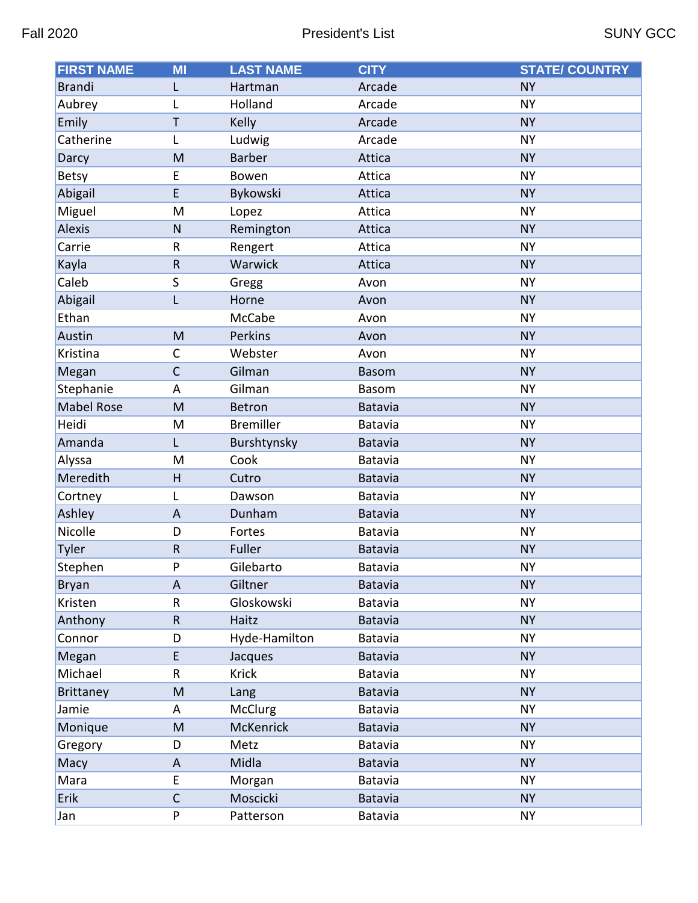| <b>FIRST NAME</b> | MI                        | <b>LAST NAME</b> | <b>CITY</b>    | <b>STATE/ COUNTRY</b> |
|-------------------|---------------------------|------------------|----------------|-----------------------|
| <b>Brandi</b>     | L                         | Hartman          | Arcade         | <b>NY</b>             |
| Aubrey            | L                         | Holland          | Arcade         | <b>NY</b>             |
| Emily             | T                         | Kelly            | Arcade         | <b>NY</b>             |
| Catherine         | L                         | Ludwig           | Arcade         | <b>NY</b>             |
| Darcy             | M                         | <b>Barber</b>    | Attica         | <b>NY</b>             |
| <b>Betsy</b>      | E                         | Bowen            | Attica         | <b>NY</b>             |
| Abigail           | E                         | Bykowski         | Attica         | <b>NY</b>             |
| Miguel            | M                         | Lopez            | Attica         | <b>NY</b>             |
| <b>Alexis</b>     | $\mathsf{N}$              | Remington        | Attica         | <b>NY</b>             |
| Carrie            | R                         | Rengert          | Attica         | <b>NY</b>             |
| Kayla             | ${\sf R}$                 | Warwick          | Attica         | <b>NY</b>             |
| Caleb             | S                         | Gregg            | Avon           | <b>NY</b>             |
| Abigail           | L                         | Horne            | Avon           | <b>NY</b>             |
| Ethan             |                           | McCabe           | Avon           | <b>NY</b>             |
| Austin            | M                         | Perkins          | Avon           | <b>NY</b>             |
| Kristina          | C                         | Webster          | Avon           | <b>NY</b>             |
| Megan             | $\mathsf{C}$              | Gilman           | <b>Basom</b>   | <b>NY</b>             |
| Stephanie         | A                         | Gilman           | <b>Basom</b>   | <b>NY</b>             |
| <b>Mabel Rose</b> | M                         | <b>Betron</b>    | Batavia        | <b>NY</b>             |
| Heidi             | M                         | <b>Bremiller</b> | Batavia        | <b>NY</b>             |
| Amanda            | Г                         | Burshtynsky      | Batavia        | <b>NY</b>             |
| Alyssa            | M                         | Cook             | Batavia        | <b>NY</b>             |
| Meredith          | H                         | Cutro            | <b>Batavia</b> | <b>NY</b>             |
| Cortney           | L                         | Dawson           | Batavia        | <b>NY</b>             |
| Ashley            | $\mathsf{A}$              | Dunham           | <b>Batavia</b> | <b>NY</b>             |
| Nicolle           | D                         | Fortes           | Batavia        | <b>NY</b>             |
| Tyler             | ${\sf R}$                 | Fuller           | <b>Batavia</b> | <b>NY</b>             |
| Stephen           | P                         | Gilebarto        | Batavia        | <b>NY</b>             |
| <b>Bryan</b>      | $\boldsymbol{\mathsf{A}}$ | Giltner          | Batavia        | <b>NY</b>             |
| Kristen           | R                         | Gloskowski       | Batavia        | <b>NY</b>             |
| Anthony           | R                         | Haitz            | Batavia        | <b>NY</b>             |
| Connor            | D                         | Hyde-Hamilton    | Batavia        | <b>NY</b>             |
| Megan             | E                         | Jacques          | <b>Batavia</b> | <b>NY</b>             |
| Michael           | R                         | <b>Krick</b>     | Batavia        | <b>NY</b>             |
| <b>Brittaney</b>  | M                         | Lang             | Batavia        | <b>NY</b>             |
| Jamie             | Α                         | McClurg          | Batavia        | <b>NY</b>             |
| Monique           | M                         | McKenrick        | Batavia        | <b>NY</b>             |
| Gregory           | D                         | Metz             | Batavia        | <b>NY</b>             |
| Macy              | $\boldsymbol{\mathsf{A}}$ | Midla            | <b>Batavia</b> | <b>NY</b>             |
| Mara              | E                         | Morgan           | Batavia        | <b>NY</b>             |
| Erik              | $\mathsf{C}$              | Moscicki         | Batavia        | <b>NY</b>             |
| Jan               | P                         | Patterson        | Batavia        | <b>NY</b>             |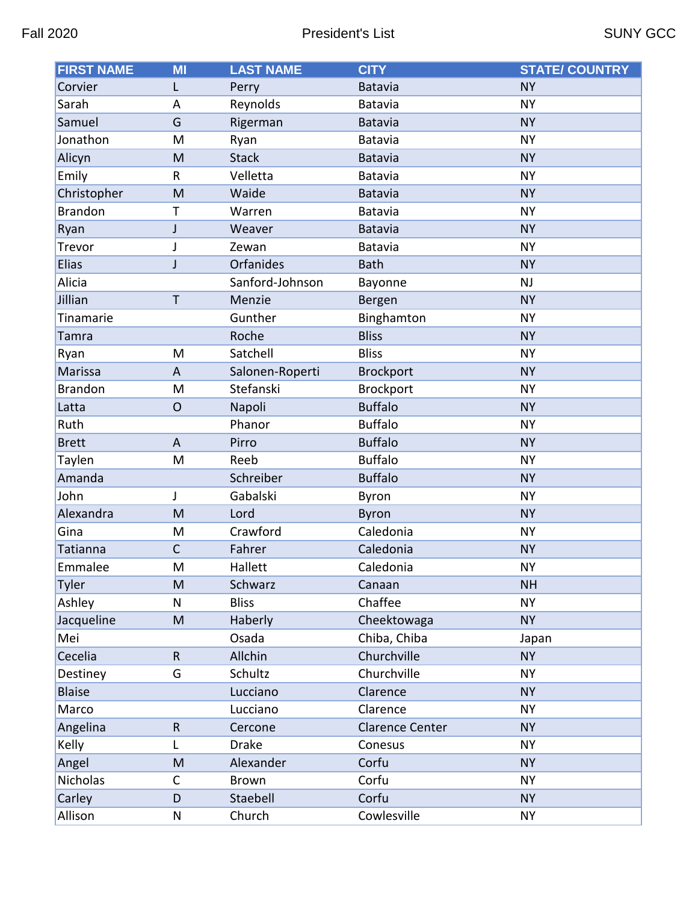| <b>FIRST NAME</b> | <b>MI</b>                 | <b>LAST NAME</b> | <b>CITY</b>            | <b>STATE/ COUNTRY</b> |
|-------------------|---------------------------|------------------|------------------------|-----------------------|
| Corvier           | L                         | Perry            | <b>Batavia</b>         | <b>NY</b>             |
| Sarah             | A                         | Reynolds         | Batavia                | <b>NY</b>             |
| Samuel            | G                         | Rigerman         | Batavia                | <b>NY</b>             |
| Jonathon          | M                         | Ryan             | Batavia                | <b>NY</b>             |
| Alicyn            | M                         | <b>Stack</b>     | <b>Batavia</b>         | <b>NY</b>             |
| Emily             | R                         | Velletta         | Batavia                | <b>NY</b>             |
| Christopher       | M                         | Waide            | Batavia                | <b>NY</b>             |
| <b>Brandon</b>    | Т                         | Warren           | Batavia                | <b>NY</b>             |
| Ryan              | J                         | Weaver           | <b>Batavia</b>         | <b>NY</b>             |
| Trevor            | J                         | Zewan            | Batavia                | <b>NY</b>             |
| <b>Elias</b>      | J                         | Orfanides        | <b>Bath</b>            | <b>NY</b>             |
| Alicia            |                           | Sanford-Johnson  | Bayonne                | <b>NJ</b>             |
| Jillian           | Т                         | Menzie           | Bergen                 | <b>NY</b>             |
| Tinamarie         |                           | Gunther          | Binghamton             | <b>NY</b>             |
| Tamra             |                           | Roche            | <b>Bliss</b>           | <b>NY</b>             |
| Ryan              | M                         | Satchell         | <b>Bliss</b>           | <b>NY</b>             |
| Marissa           | A                         | Salonen-Roperti  | <b>Brockport</b>       | <b>NY</b>             |
| <b>Brandon</b>    | M                         | Stefanski        | <b>Brockport</b>       | <b>NY</b>             |
| Latta             | $\overline{O}$            | Napoli           | <b>Buffalo</b>         | <b>NY</b>             |
| Ruth              |                           | Phanor           | <b>Buffalo</b>         | <b>NY</b>             |
| <b>Brett</b>      | $\boldsymbol{\mathsf{A}}$ | Pirro            | <b>Buffalo</b>         | <b>NY</b>             |
| Taylen            | M                         | Reeb             | <b>Buffalo</b>         | <b>NY</b>             |
| Amanda            |                           | Schreiber        | <b>Buffalo</b>         | <b>NY</b>             |
| John              | J                         | Gabalski         | Byron                  | <b>NY</b>             |
| Alexandra         | M                         | Lord             | <b>Byron</b>           | <b>NY</b>             |
| Gina              | M                         | Crawford         | Caledonia              | <b>NY</b>             |
| <b>Tatianna</b>   | $\mathsf{C}$              | Fahrer           | Caledonia              | <b>NY</b>             |
| Emmalee           | M                         | Hallett          | Caledonia              | <b>NY</b>             |
| Tyler             | M                         | Schwarz          | Canaan                 | <b>NH</b>             |
| Ashley            | N                         | <b>Bliss</b>     | Chaffee                | <b>NY</b>             |
| Jacqueline        | M                         | Haberly          | Cheektowaga            | <b>NY</b>             |
| Mei               |                           | Osada            | Chiba, Chiba           | Japan                 |
| Cecelia           | $\mathsf R$               | Allchin          | Churchville            | <b>NY</b>             |
| Destiney          | G                         | Schultz          | Churchville            | <b>NY</b>             |
| <b>Blaise</b>     |                           | Lucciano         | Clarence               | <b>NY</b>             |
| Marco             |                           | Lucciano         | Clarence               | <b>NY</b>             |
| Angelina          | $\mathsf R$               | Cercone          | <b>Clarence Center</b> | <b>NY</b>             |
| Kelly             | L                         | <b>Drake</b>     | Conesus                | <b>NY</b>             |
| Angel             | M                         | Alexander        | Corfu                  | <b>NY</b>             |
| Nicholas          | C                         | <b>Brown</b>     | Corfu                  | <b>NY</b>             |
| Carley            | D                         | Staebell         | Corfu                  | <b>NY</b>             |
| Allison           | ${\sf N}$                 | Church           | Cowlesville            | <b>NY</b>             |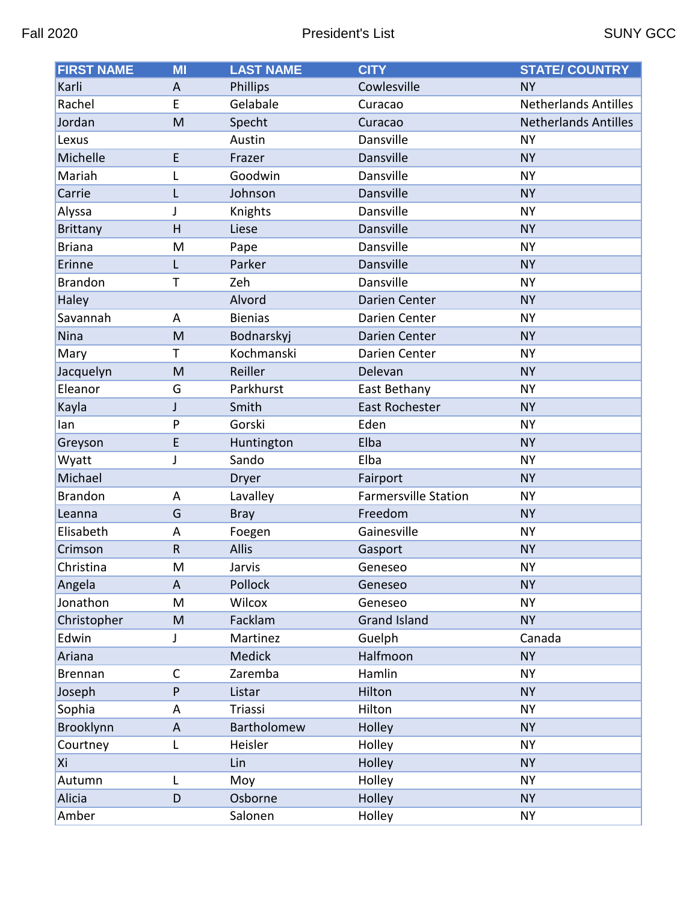| <b>FIRST NAME</b> | $\overline{\mathsf{M}}$   | <b>LAST NAME</b> | <b>CITY</b>                 | <b>STATE/ COUNTRY</b>       |
|-------------------|---------------------------|------------------|-----------------------------|-----------------------------|
| Karli             | A                         | Phillips         | Cowlesville                 | <b>NY</b>                   |
| Rachel            | E                         | Gelabale         | Curacao                     | <b>Netherlands Antilles</b> |
| Jordan            | M                         | Specht           | Curacao                     | <b>Netherlands Antilles</b> |
| Lexus             |                           | Austin           | Dansville                   | <b>NY</b>                   |
| Michelle          | E                         | Frazer           | Dansville                   | <b>NY</b>                   |
| Mariah            | L                         | Goodwin          | Dansville                   | <b>NY</b>                   |
| Carrie            | L                         | Johnson          | Dansville                   | <b>NY</b>                   |
| Alyssa            | J                         | Knights          | Dansville                   | <b>NY</b>                   |
| <b>Brittany</b>   | H                         | Liese            | Dansville                   | <b>NY</b>                   |
| <b>Briana</b>     | M                         | Pape             | Dansville                   | <b>NY</b>                   |
| Erinne            | L                         | Parker           | Dansville                   | <b>NY</b>                   |
| <b>Brandon</b>    | T                         | Zeh              | Dansville                   | <b>NY</b>                   |
| Haley             |                           | Alvord           | Darien Center               | <b>NY</b>                   |
| Savannah          | A                         | <b>Bienias</b>   | Darien Center               | <b>NY</b>                   |
| Nina              | M                         | Bodnarskyj       | Darien Center               | <b>NY</b>                   |
| Mary              | Т                         | Kochmanski       | Darien Center               | <b>NY</b>                   |
| Jacquelyn         | M                         | Reiller          | Delevan                     | <b>NY</b>                   |
| Eleanor           | G                         | Parkhurst        | East Bethany                | <b>NY</b>                   |
| Kayla             | J                         | Smith            | East Rochester              | <b>NY</b>                   |
| lan               | P                         | Gorski           | Eden                        | <b>NY</b>                   |
| Greyson           | E                         | Huntington       | Elba                        | <b>NY</b>                   |
| Wyatt             | J                         | Sando            | Elba                        | <b>NY</b>                   |
| Michael           |                           | Dryer            | Fairport                    | <b>NY</b>                   |
| <b>Brandon</b>    | A                         | Lavalley         | <b>Farmersville Station</b> | <b>NY</b>                   |
| Leanna            | G                         | <b>Bray</b>      | Freedom                     | <b>NY</b>                   |
| Elisabeth         | A                         | Foegen           | Gainesville                 | <b>NY</b>                   |
| Crimson           | $\mathsf{R}$              | <b>Allis</b>     | Gasport                     | <b>NY</b>                   |
| Christina         | M                         | Jarvis           | Geneseo                     | <b>NY</b>                   |
| Angela            | A                         | Pollock          | Geneseo                     | <b>NY</b>                   |
| Jonathon          | M                         | Wilcox           | Geneseo                     | <b>NY</b>                   |
| Christopher       | M                         | Facklam          | <b>Grand Island</b>         | <b>NY</b>                   |
| Edwin             | J                         | Martinez         | Guelph                      | Canada                      |
| Ariana            |                           | Medick           | Halfmoon                    | <b>NY</b>                   |
| <b>Brennan</b>    | $\mathsf C$               | Zaremba          | Hamlin                      | <b>NY</b>                   |
| Joseph            | P                         | Listar           | Hilton                      | <b>NY</b>                   |
| Sophia            | Α                         | Triassi          | Hilton                      | <b>NY</b>                   |
| Brooklynn         | $\boldsymbol{\mathsf{A}}$ | Bartholomew      | Holley                      | <b>NY</b>                   |
| Courtney          | L                         | Heisler          | Holley                      | <b>NY</b>                   |
| Xi                |                           | Lin              | Holley                      | <b>NY</b>                   |
| Autumn            | Г                         | Moy              | Holley                      | <b>NY</b>                   |
| Alicia            | D                         | Osborne          | Holley                      | <b>NY</b>                   |
| Amber             |                           | Salonen          | Holley                      | <b>NY</b>                   |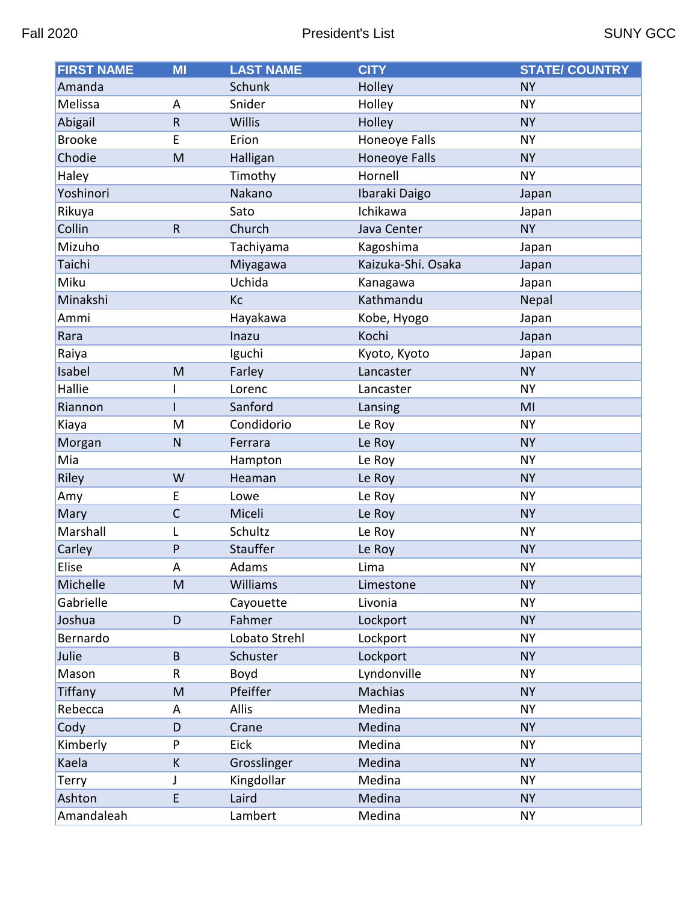| <b>FIRST NAME</b> | MI           | <b>LAST NAME</b> | <b>CITY</b>          | <b>STATE/ COUNTRY</b> |
|-------------------|--------------|------------------|----------------------|-----------------------|
| Amanda            |              | Schunk           | Holley               | <b>NY</b>             |
| Melissa           | A            | Snider           | Holley               | <b>NY</b>             |
| Abigail           | $\sf R$      | Willis           | Holley               | <b>NY</b>             |
| <b>Brooke</b>     | E            | Erion            | Honeoye Falls        | <b>NY</b>             |
| Chodie            | M            | Halligan         | <b>Honeoye Falls</b> | <b>NY</b>             |
| Haley             |              | Timothy          | Hornell              | <b>NY</b>             |
| Yoshinori         |              | Nakano           | Ibaraki Daigo        | Japan                 |
| Rikuya            |              | Sato             | Ichikawa             | Japan                 |
| Collin            | $\mathsf{R}$ | Church           | Java Center          | <b>NY</b>             |
| Mizuho            |              | Tachiyama        | Kagoshima            | Japan                 |
| Taichi            |              | Miyagawa         | Kaizuka-Shi. Osaka   | Japan                 |
| Miku              |              | Uchida           | Kanagawa             | Japan                 |
| Minakshi          |              | Кc               | Kathmandu            | Nepal                 |
| Ammi              |              | Hayakawa         | Kobe, Hyogo          | Japan                 |
| Rara              |              | Inazu            | Kochi                | Japan                 |
| Raiya             |              | Iguchi           | Kyoto, Kyoto         | Japan                 |
| Isabel            | M            | Farley           | Lancaster            | <b>NY</b>             |
| Hallie            |              | Lorenc           | Lancaster            | <b>NY</b>             |
| Riannon           |              | Sanford          | Lansing              | MI                    |
| Kiaya             | M            | Condidorio       | Le Roy               | <b>NY</b>             |
| Morgan            | ${\sf N}$    | Ferrara          | Le Roy               | <b>NY</b>             |
| Mia               |              | Hampton          | Le Roy               | <b>NY</b>             |
| Riley             | W            | Heaman           | Le Roy               | <b>NY</b>             |
| Amy               | E            | Lowe             | Le Roy               | <b>NY</b>             |
| Mary              | $\mathsf{C}$ | Miceli           | Le Roy               | <b>NY</b>             |
| Marshall          | L            | Schultz          | Le Roy               | <b>NY</b>             |
| Carley            | P            | <b>Stauffer</b>  | Le Roy               | <b>NY</b>             |
| Elise             | Α            | Adams            | Lima                 | <b>NY</b>             |
| Michelle          | M            | Williams         | Limestone            | <b>NY</b>             |
| Gabrielle         |              | Cayouette        | Livonia              | <b>NY</b>             |
| Joshua            | D            | Fahmer           | Lockport             | <b>NY</b>             |
| Bernardo          |              | Lobato Strehl    | Lockport             | <b>NY</b>             |
| Julie             | B            | Schuster         | Lockport             | <b>NY</b>             |
| Mason             | R            | Boyd             | Lyndonville          | <b>NY</b>             |
| Tiffany           | M            | Pfeiffer         | Machias              | <b>NY</b>             |
| Rebecca           | Α            | <b>Allis</b>     | Medina               | <b>NY</b>             |
| Cody              | D            | Crane            | Medina               | <b>NY</b>             |
| Kimberly          | P            | Eick             | Medina               | <b>NY</b>             |
| Kaela             | К            | Grosslinger      | Medina               | <b>NY</b>             |
| Terry             | J            | Kingdollar       | Medina               | <b>NY</b>             |
| Ashton            | E            | Laird            | Medina               | <b>NY</b>             |
| Amandaleah        |              | Lambert          | Medina               | <b>NY</b>             |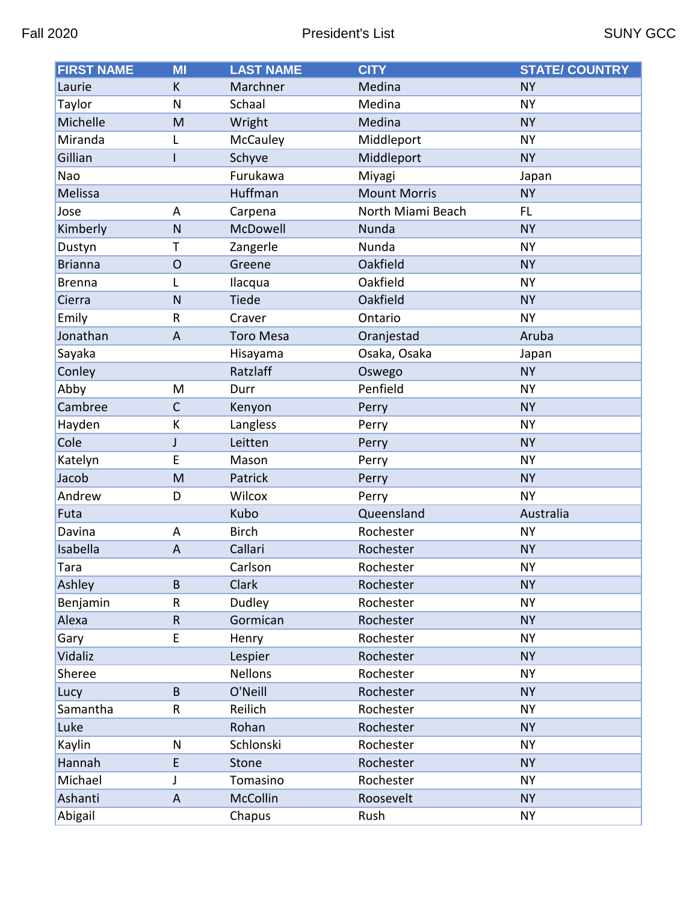| <b>FIRST NAME</b> | MI             | <b>LAST NAME</b> | <b>CITY</b>         | <b>STATE/ COUNTRY</b> |
|-------------------|----------------|------------------|---------------------|-----------------------|
| Laurie            | К              | Marchner         | Medina              | <b>NY</b>             |
| Taylor            | N              | Schaal           | Medina              | <b>NY</b>             |
| Michelle          | M              | Wright           | Medina              | <b>NY</b>             |
| Miranda           | L              | McCauley         | Middleport          | <b>NY</b>             |
| Gillian           | ı              | Schyve           | Middleport          | <b>NY</b>             |
| Nao               |                | Furukawa         | Miyagi              | Japan                 |
| Melissa           |                | Huffman          | <b>Mount Morris</b> | <b>NY</b>             |
| Jose              | A              | Carpena          | North Miami Beach   | FL.                   |
| Kimberly          | $\mathsf{N}$   | McDowell         | Nunda               | <b>NY</b>             |
| Dustyn            | Τ              | Zangerle         | Nunda               | <b>NY</b>             |
| <b>Brianna</b>    | $\overline{O}$ | Greene           | Oakfield            | <b>NY</b>             |
| <b>Brenna</b>     | L              | Ilacqua          | Oakfield            | <b>NY</b>             |
| Cierra            | N              | Tiede            | Oakfield            | <b>NY</b>             |
| Emily             | $\sf R$        | Craver           | Ontario             | <b>NY</b>             |
| Jonathan          | $\overline{A}$ | <b>Toro Mesa</b> | Oranjestad          | Aruba                 |
| Sayaka            |                | Hisayama         | Osaka, Osaka        | Japan                 |
| Conley            |                | Ratzlaff         | Oswego              | <b>NY</b>             |
| Abby              | M              | Durr             | Penfield            | <b>NY</b>             |
| Cambree           | $\mathsf{C}$   | Kenyon           | Perry               | <b>NY</b>             |
| Hayden            | К              | Langless         | Perry               | <b>NY</b>             |
| Cole              | $\mathsf J$    | Leitten          | Perry               | <b>NY</b>             |
| Katelyn           | E              | Mason            | Perry               | <b>NY</b>             |
| Jacob             | M              | Patrick          | Perry               | <b>NY</b>             |
| Andrew            | D              | Wilcox           | Perry               | <b>NY</b>             |
| Futa              |                | Kubo             | Queensland          | Australia             |
| Davina            | A              | <b>Birch</b>     | Rochester           | <b>NY</b>             |
| Isabella          | $\overline{A}$ | Callari          | Rochester           | <b>NY</b>             |
| Tara              |                | Carlson          | Rochester           | <b>NY</b>             |
| Ashley            | B              | Clark            | Rochester           | <b>NY</b>             |
| Benjamin          | R              | Dudley           | Rochester           | <b>NY</b>             |
| Alexa             | ${\sf R}$      | Gormican         | Rochester           | <b>NY</b>             |
| Gary              | E              | Henry            | Rochester           | <b>NY</b>             |
| Vidaliz           |                | Lespier          | Rochester           | <b>NY</b>             |
| Sheree            |                | <b>Nellons</b>   | Rochester           | <b>NY</b>             |
| Lucy              | B              | O'Neill          | Rochester           | <b>NY</b>             |
| Samantha          | ${\sf R}$      | Reilich          | Rochester           | <b>NY</b>             |
| Luke              |                | Rohan            | Rochester           | <b>NY</b>             |
| Kaylin            | N              | Schlonski        | Rochester           | <b>NY</b>             |
| Hannah            | E              | Stone            | Rochester           | <b>NY</b>             |
| Michael           | J              | Tomasino         | Rochester           | <b>NY</b>             |
| Ashanti           | A              | McCollin         | Roosevelt           | <b>NY</b>             |
| Abigail           |                | Chapus           | Rush                | <b>NY</b>             |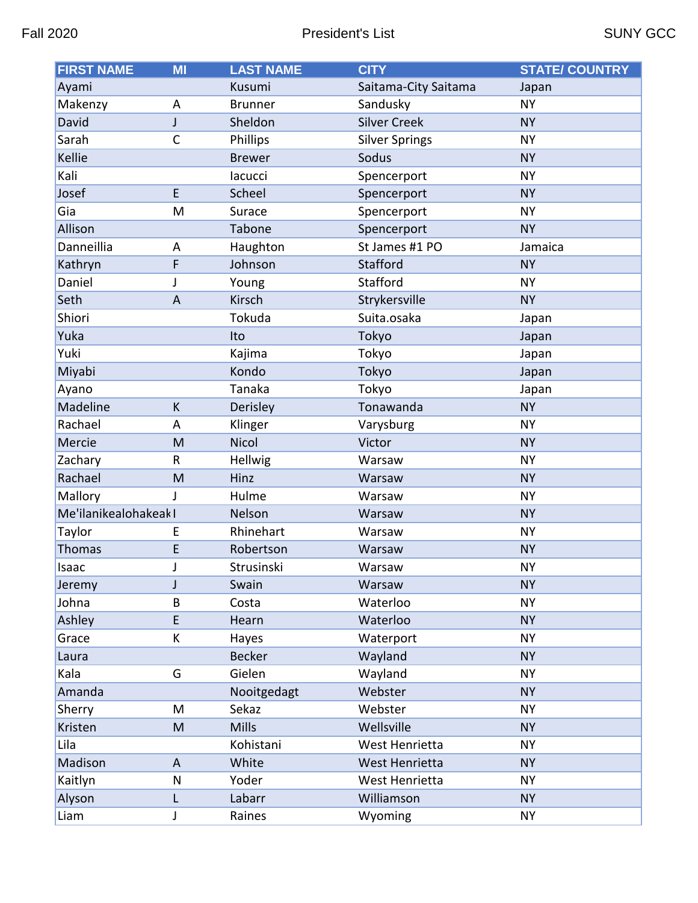| <b>FIRST NAME</b>     | <b>MI</b>    | <b>LAST NAME</b> | <b>CITY</b>           | <b>STATE/ COUNTRY</b> |
|-----------------------|--------------|------------------|-----------------------|-----------------------|
| Ayami                 |              | Kusumi           | Saitama-City Saitama  | Japan                 |
| Makenzy               | A            | <b>Brunner</b>   | Sandusky              | <b>NY</b>             |
| David                 | J            | Sheldon          | <b>Silver Creek</b>   | <b>NY</b>             |
| Sarah                 | $\mathsf{C}$ | Phillips         | <b>Silver Springs</b> | <b>NY</b>             |
| Kellie                |              | <b>Brewer</b>    | Sodus                 | <b>NY</b>             |
| Kali                  |              | lacucci          | Spencerport           | <b>NY</b>             |
| Josef                 | E.           | Scheel           | Spencerport           | <b>NY</b>             |
| Gia                   | M            | Surace           | Spencerport           | <b>NY</b>             |
| Allison               |              | <b>Tabone</b>    | Spencerport           | <b>NY</b>             |
| Danneillia            | A            | Haughton         | St James #1 PO        | Jamaica               |
| Kathryn               | F            | Johnson          | Stafford              | <b>NY</b>             |
| Daniel                | J            | Young            | Stafford              | <b>NY</b>             |
| Seth                  | A            | Kirsch           | Strykersville         | <b>NY</b>             |
| Shiori                |              | Tokuda           | Suita.osaka           | Japan                 |
| Yuka                  |              | Ito              | Tokyo                 | Japan                 |
| Yuki                  |              | Kajima           | Tokyo                 | Japan                 |
| Miyabi                |              | Kondo            | Tokyo                 | Japan                 |
| Ayano                 |              | Tanaka           | Tokyo                 | Japan                 |
| Madeline              | K            | Derisley         | Tonawanda             | <b>NY</b>             |
| Rachael               | A            | Klinger          | Varysburg             | <b>NY</b>             |
| Mercie                | M            | Nicol            | Victor                | <b>NY</b>             |
| Zachary               | R            | Hellwig          | Warsaw                | <b>NY</b>             |
| Rachael               | M            | Hinz             | Warsaw                | <b>NY</b>             |
| Mallory               | J            | Hulme            | Warsaw                | <b>NY</b>             |
| Me'ilanikealohakeak I |              | Nelson           | Warsaw                | <b>NY</b>             |
| Taylor                | E            | Rhinehart        | Warsaw                | <b>NY</b>             |
| <b>Thomas</b>         | E            | Robertson        | Warsaw                | <b>NY</b>             |
| Isaac                 |              | Strusinski       | Warsaw                | <b>NY</b>             |
| Jeremy                | J            | Swain            | Warsaw                | <b>NY</b>             |
| Johna                 | B            | Costa            | Waterloo              | <b>NY</b>             |
| Ashley                | E            | Hearn            | Waterloo              | <b>NY</b>             |
| Grace                 | К            | Hayes            | Waterport             | <b>NY</b>             |
| Laura                 |              | <b>Becker</b>    | Wayland               | <b>NY</b>             |
| Kala                  | G            | Gielen           | Wayland               | <b>NY</b>             |
| Amanda                |              | Nooitgedagt      | Webster               | <b>NY</b>             |
| Sherry                | M            | Sekaz            | Webster               | <b>NY</b>             |
| Kristen               | M            | <b>Mills</b>     | Wellsville            | <b>NY</b>             |
| Lila                  |              | Kohistani        | West Henrietta        | <b>NY</b>             |
| Madison               | A            | White            | West Henrietta        | <b>NY</b>             |
| Kaitlyn               | N            | Yoder            | West Henrietta        | <b>NY</b>             |
| Alyson                | L            | Labarr           | Williamson            | <b>NY</b>             |
| Liam                  | J            | Raines           | Wyoming               | <b>NY</b>             |